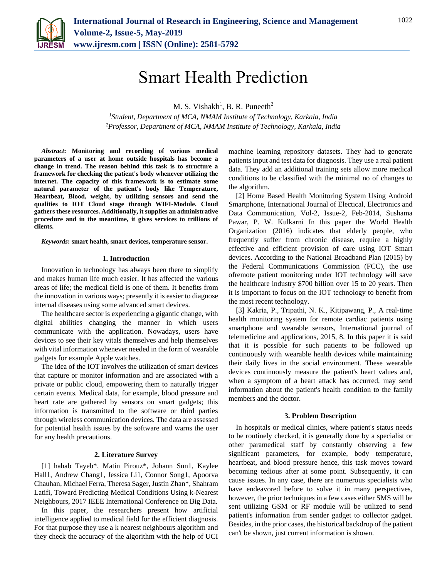

# Smart Health Prediction

M. S. Vishakh<sup>1</sup>, B. R. Puneeth<sup>2</sup>

*<sup>1</sup>Student, Department of MCA, NMAM Institute of Technology, Karkala, India 2Professor, Department of MCA, NMAM Institute of Technology, Karkala, India*

*Abstract***: Monitoring and recording of various medical parameters of a user at home outside hospitals has become a change in trend. The reason behind this task is to structure a framework for checking the patient's body whenever utilizing the internet. The capacity of this framework is to estimate some natural parameter of the patient's body like Temperature, Heartbeat, Blood, weight, by utilizing sensors and send the qualities to IOT Cloud stage through WIFI-Module. Cloud gathers these resources. Additionally, it supplies an administrative procedure and in the meantime, it gives services to trillions of clients.**

*Keywords***: smart health, smart devices, temperature sensor.**

#### **1. Introduction**

Innovation in technology has always been there to simplify and makes human life much easier. It has affected the various areas of life; the medical field is one of them. It benefits from the innovation in various ways; presently it is easier to diagnose internal diseases using some advanced smart devices.

The healthcare sector is experiencing a gigantic change, with digital abilities changing the manner in which users communicate with the application. Nowadays, users have devices to see their key vitals themselves and help themselves with vital information whenever needed in the form of wearable gadgets for example Apple watches.

The idea of the IOT involves the utilization of smart devices that capture or monitor information and are associated with a private or public cloud, empowering them to naturally trigger certain events. Medical data, for example, blood pressure and heart rate are gathered by sensors on smart gadgets; this information is transmitted to the software or third parties through wireless communication devices. The data are assessed for potential health issues by the software and warns the user for any health precautions.

### **2. Literature Survey**

[1] hahab Tayeb\*, Matin Pirouz\*, Johann Sun1, Kaylee Hall1, Andrew Chang1, Jessica Li1, Connor Song1, Apoorva Chauhan, Michael Ferra, Theresa Sager, Justin Zhan\*, Shahram Latifi, Toward Predicting Medical Conditions Using k-Nearest Neighbours, 2017 IEEE International Conference on Big Data.

In this paper, the researchers present how artificial intelligence applied to medical field for the efficient diagnosis. For that purpose they use a k nearest neighbours algorithm and they check the accuracy of the algorithm with the help of UCI machine learning repository datasets. They had to generate patients input and test data for diagnosis. They use a real patient data. They add an additional training sets allow more medical conditions to be classified with the minimal no of changes to the algorithm.

[2] Home Based Health Monitoring System Using Android Smartphone, International Journal of Electical, Electronics and Data Communication, Vol-2, Issue-2, Feb-2014, Sushama Pawar, P. W. Kulkarni In this paper the World Health Organization (2016) indicates that elderly people, who frequently suffer from chronic disease, require a highly effective and efficient provision of care using IOT Smart devices. According to the National Broadband Plan (2015) by the Federal Communications Commission (FCC), the use ofremote patient monitoring under IOT technology will save the healthcare industry \$700 billion over 15 to 20 years. Then it is important to focus on the IOT technology to benefit from the most recent technology.

[3] Kakria, P., Tripathi, N. K., Kitipawang, P., A real-time health monitoring system for remote cardiac patients using smartphone and wearable sensors, International journal of telemedicine and applications, 2015, 8. In this paper it is said that it is possible for such patients to be followed up continuously with wearable health devices while maintaining their daily lives in the social environment. These wearable devices continuously measure the patient's heart values and, when a symptom of a heart attack has occurred, may send information about the patient's health condition to the family members and the doctor.

#### **3. Problem Description**

In hospitals or medical clinics, where patient's status needs to be routinely checked, it is generally done by a specialist or other paramedical staff by constantly observing a few significant parameters, for example, body temperature, heartbeat, and blood pressure hence, this task moves toward becoming tedious after at some point. Subsequently, it can cause issues. In any case, there are numerous specialists who have endeavored before to solve it in many perspectives, however, the prior techniques in a few cases either SMS will be sent utilizing GSM or RF module will be utilized to send patient's information from sender gadget to collector gadget. Besides, in the prior cases, the historical backdrop of the patient can't be shown, just current information is shown.